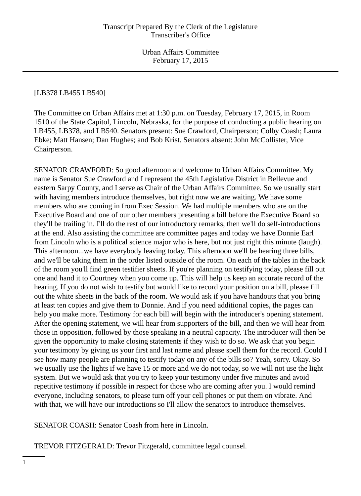### [LB378 LB455 LB540]

The Committee on Urban Affairs met at 1:30 p.m. on Tuesday, February 17, 2015, in Room 1510 of the State Capitol, Lincoln, Nebraska, for the purpose of conducting a public hearing on LB455, LB378, and LB540. Senators present: Sue Crawford, Chairperson; Colby Coash; Laura Ebke; Matt Hansen; Dan Hughes; and Bob Krist. Senators absent: John McCollister, Vice Chairperson.

SENATOR CRAWFORD: So good afternoon and welcome to Urban Affairs Committee. My name is Senator Sue Crawford and I represent the 45th Legislative District in Bellevue and eastern Sarpy County, and I serve as Chair of the Urban Affairs Committee. So we usually start with having members introduce themselves, but right now we are waiting. We have some members who are coming in from Exec Session. We had multiple members who are on the Executive Board and one of our other members presenting a bill before the Executive Board so they'll be trailing in. I'll do the rest of our introductory remarks, then we'll do self-introductions at the end. Also assisting the committee are committee pages and today we have Donnie Earl from Lincoln who is a political science major who is here, but not just right this minute (laugh). This afternoon...we have everybody leaving today. This afternoon we'll be hearing three bills, and we'll be taking them in the order listed outside of the room. On each of the tables in the back of the room you'll find green testifier sheets. If you're planning on testifying today, please fill out one and hand it to Courtney when you come up. This will help us keep an accurate record of the hearing. If you do not wish to testify but would like to record your position on a bill, please fill out the white sheets in the back of the room. We would ask if you have handouts that you bring at least ten copies and give them to Donnie. And if you need additional copies, the pages can help you make more. Testimony for each bill will begin with the introducer's opening statement. After the opening statement, we will hear from supporters of the bill, and then we will hear from those in opposition, followed by those speaking in a neutral capacity. The introducer will then be given the opportunity to make closing statements if they wish to do so. We ask that you begin your testimony by giving us your first and last name and please spell them for the record. Could I see how many people are planning to testify today on any of the bills so? Yeah, sorry. Okay. So we usually use the lights if we have 15 or more and we do not today, so we will not use the light system. But we would ask that you try to keep your testimony under five minutes and avoid repetitive testimony if possible in respect for those who are coming after you. I would remind everyone, including senators, to please turn off your cell phones or put them on vibrate. And with that, we will have our introductions so I'll allow the senators to introduce themselves.

SENATOR COASH: Senator Coash from here in Lincoln.

TREVOR FITZGERALD: Trevor Fitzgerald, committee legal counsel.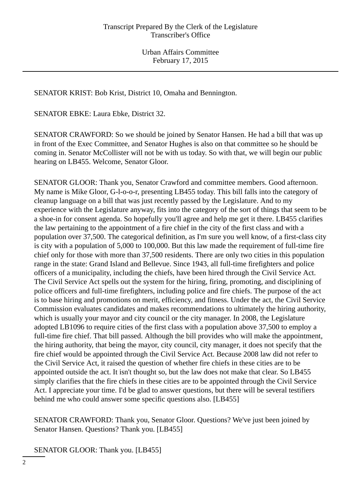SENATOR KRIST: Bob Krist, District 10, Omaha and Bennington.

SENATOR EBKE: Laura Ebke, District 32.

SENATOR CRAWFORD: So we should be joined by Senator Hansen. He had a bill that was up in front of the Exec Committee, and Senator Hughes is also on that committee so he should be coming in. Senator McCollister will not be with us today. So with that, we will begin our public hearing on LB455. Welcome, Senator Gloor.

SENATOR GLOOR: Thank you, Senator Crawford and committee members. Good afternoon. My name is Mike Gloor, G-l-o-o-r, presenting LB455 today. This bill falls into the category of cleanup language on a bill that was just recently passed by the Legislature. And to my experience with the Legislature anyway, fits into the category of the sort of things that seem to be a shoe-in for consent agenda. So hopefully you'll agree and help me get it there. LB455 clarifies the law pertaining to the appointment of a fire chief in the city of the first class and with a population over 37,500. The categorical definition, as I'm sure you well know, of a first-class city is city with a population of 5,000 to 100,000. But this law made the requirement of full-time fire chief only for those with more than 37,500 residents. There are only two cities in this population range in the state: Grand Island and Bellevue. Since 1943, all full-time firefighters and police officers of a municipality, including the chiefs, have been hired through the Civil Service Act. The Civil Service Act spells out the system for the hiring, firing, promoting, and disciplining of police officers and full-time firefighters, including police and fire chiefs. The purpose of the act is to base hiring and promotions on merit, efficiency, and fitness. Under the act, the Civil Service Commission evaluates candidates and makes recommendations to ultimately the hiring authority, which is usually your mayor and city council or the city manager. In 2008, the Legislature adopted LB1096 to require cities of the first class with a population above 37,500 to employ a full-time fire chief. That bill passed. Although the bill provides who will make the appointment, the hiring authority, that being the mayor, city council, city manager, it does not specify that the fire chief would be appointed through the Civil Service Act. Because 2008 law did not refer to the Civil Service Act, it raised the question of whether fire chiefs in these cities are to be appointed outside the act. It isn't thought so, but the law does not make that clear. So LB455 simply clarifies that the fire chiefs in these cities are to be appointed through the Civil Service Act. I appreciate your time. I'd be glad to answer questions, but there will be several testifiers behind me who could answer some specific questions also. [LB455]

SENATOR CRAWFORD: Thank you, Senator Gloor. Questions? We've just been joined by Senator Hansen. Questions? Thank you. [LB455]

SENATOR GLOOR: Thank you. [LB455]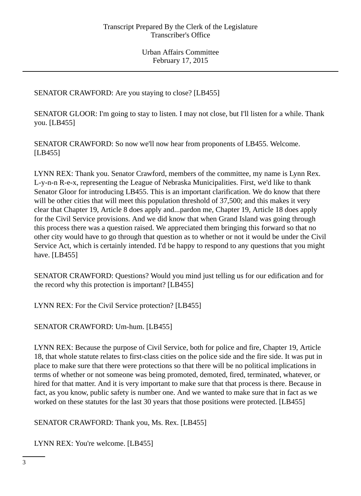SENATOR CRAWFORD: Are you staying to close? [LB455]

SENATOR GLOOR: I'm going to stay to listen. I may not close, but I'll listen for a while. Thank you. [LB455]

SENATOR CRAWFORD: So now we'll now hear from proponents of LB455. Welcome. [LB455]

LYNN REX: Thank you. Senator Crawford, members of the committee, my name is Lynn Rex. L-y-n-n R-e-x, representing the League of Nebraska Municipalities. First, we'd like to thank Senator Gloor for introducing LB455. This is an important clarification. We do know that there will be other cities that will meet this population threshold of 37,500; and this makes it very clear that Chapter 19, Article 8 does apply and...pardon me, Chapter 19, Article 18 does apply for the Civil Service provisions. And we did know that when Grand Island was going through this process there was a question raised. We appreciated them bringing this forward so that no other city would have to go through that question as to whether or not it would be under the Civil Service Act, which is certainly intended. I'd be happy to respond to any questions that you might have. [LB455]

SENATOR CRAWFORD: Questions? Would you mind just telling us for our edification and for the record why this protection is important? [LB455]

LYNN REX: For the Civil Service protection? [LB455]

SENATOR CRAWFORD: Um-hum. [LB455]

LYNN REX: Because the purpose of Civil Service, both for police and fire, Chapter 19, Article 18, that whole statute relates to first-class cities on the police side and the fire side. It was put in place to make sure that there were protections so that there will be no political implications in terms of whether or not someone was being promoted, demoted, fired, terminated, whatever, or hired for that matter. And it is very important to make sure that that process is there. Because in fact, as you know, public safety is number one. And we wanted to make sure that in fact as we worked on these statutes for the last 30 years that those positions were protected. [LB455]

SENATOR CRAWFORD: Thank you, Ms. Rex. [LB455]

LYNN REX: You're welcome. [LB455]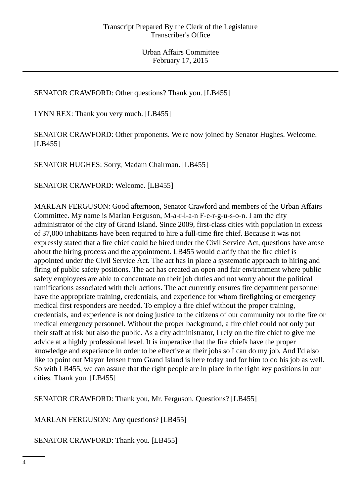## SENATOR CRAWFORD: Other questions? Thank you. [LB455]

LYNN REX: Thank you very much. [LB455]

SENATOR CRAWFORD: Other proponents. We're now joined by Senator Hughes. Welcome. [LB455]

SENATOR HUGHES: Sorry, Madam Chairman. [LB455]

SENATOR CRAWFORD: Welcome. [LB455]

MARLAN FERGUSON: Good afternoon, Senator Crawford and members of the Urban Affairs Committee. My name is Marlan Ferguson, M-a-r-l-a-n F-e-r-g-u-s-o-n. I am the city administrator of the city of Grand Island. Since 2009, first-class cities with population in excess of 37,000 inhabitants have been required to hire a full-time fire chief. Because it was not expressly stated that a fire chief could be hired under the Civil Service Act, questions have arose about the hiring process and the appointment. LB455 would clarify that the fire chief is appointed under the Civil Service Act. The act has in place a systematic approach to hiring and firing of public safety positions. The act has created an open and fair environment where public safety employees are able to concentrate on their job duties and not worry about the political ramifications associated with their actions. The act currently ensures fire department personnel have the appropriate training, credentials, and experience for whom firefighting or emergency medical first responders are needed. To employ a fire chief without the proper training, credentials, and experience is not doing justice to the citizens of our community nor to the fire or medical emergency personnel. Without the proper background, a fire chief could not only put their staff at risk but also the public. As a city administrator, I rely on the fire chief to give me advice at a highly professional level. It is imperative that the fire chiefs have the proper knowledge and experience in order to be effective at their jobs so I can do my job. And I'd also like to point out Mayor Jensen from Grand Island is here today and for him to do his job as well. So with LB455, we can assure that the right people are in place in the right key positions in our cities. Thank you. [LB455]

SENATOR CRAWFORD: Thank you, Mr. Ferguson. Questions? [LB455]

MARLAN FERGUSON: Any questions? [LB455]

SENATOR CRAWFORD: Thank you. [LB455]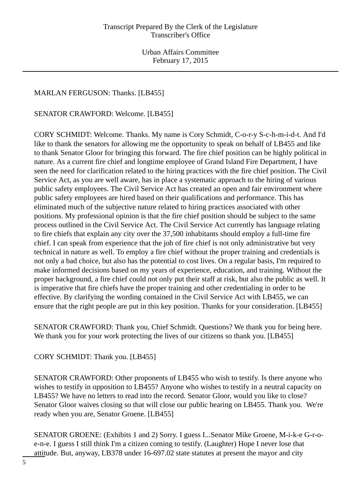# MARLAN FERGUSON: Thanks. [LB455]

SENATOR CRAWFORD: Welcome. [LB455]

CORY SCHMIDT: Welcome. Thanks. My name is Cory Schmidt, C-o-r-y S-c-h-m-i-d-t. And I'd like to thank the senators for allowing me the opportunity to speak on behalf of LB455 and like to thank Senator Gloor for bringing this forward. The fire chief position can be highly political in nature. As a current fire chief and longtime employee of Grand Island Fire Department, I have seen the need for clarification related to the hiring practices with the fire chief position. The Civil Service Act, as you are well aware, has in place a systematic approach to the hiring of various public safety employees. The Civil Service Act has created an open and fair environment where public safety employees are hired based on their qualifications and performance. This has eliminated much of the subjective nature related to hiring practices associated with other positions. My professional opinion is that the fire chief position should be subject to the same process outlined in the Civil Service Act. The Civil Service Act currently has language relating to fire chiefs that explain any city over the 37,500 inhabitants should employ a full-time fire chief. I can speak from experience that the job of fire chief is not only administrative but very technical in nature as well. To employ a fire chief without the proper training and credentials is not only a bad choice, but also has the potential to cost lives. On a regular basis, I'm required to make informed decisions based on my years of experience, education, and training. Without the proper background, a fire chief could not only put their staff at risk, but also the public as well. It is imperative that fire chiefs have the proper training and other credentialing in order to be effective. By clarifying the wording contained in the Civil Service Act with LB455, we can ensure that the right people are put in this key position. Thanks for your consideration. [LB455]

SENATOR CRAWFORD: Thank you, Chief Schmidt. Questions? We thank you for being here. We thank you for your work protecting the lives of our citizens so thank you. [LB455]

CORY SCHMIDT: Thank you. [LB455]

SENATOR CRAWFORD: Other proponents of LB455 who wish to testify. Is there anyone who wishes to testify in opposition to LB455? Anyone who wishes to testify in a neutral capacity on LB455? We have no letters to read into the record. Senator Gloor, would you like to close? Senator Gloor waives closing so that will close our public hearing on LB455. Thank you. We're ready when you are, Senator Groene. [LB455]

SENATOR GROENE: (Exhibits 1 and 2) Sorry. I guess I...Senator Mike Groene, M-i-k-e G-r-oe-n-e. I guess I still think I'm a citizen coming to testify. (Laughter) Hope I never lose that attitude. But, anyway, LB378 under 16-697.02 state statutes at present the mayor and city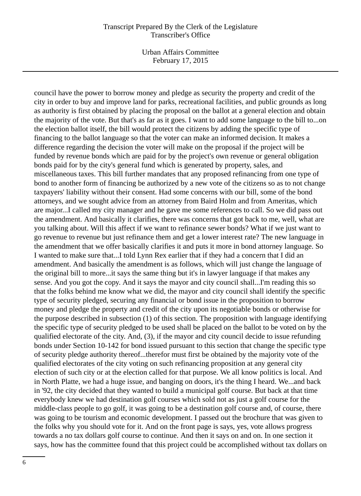Urban Affairs Committee February 17, 2015

council have the power to borrow money and pledge as security the property and credit of the city in order to buy and improve land for parks, recreational facilities, and public grounds as long as authority is first obtained by placing the proposal on the ballot at a general election and obtain the majority of the vote. But that's as far as it goes. I want to add some language to the bill to...on the election ballot itself, the bill would protect the citizens by adding the specific type of financing to the ballot language so that the voter can make an informed decision. It makes a difference regarding the decision the voter will make on the proposal if the project will be funded by revenue bonds which are paid for by the project's own revenue or general obligation bonds paid for by the city's general fund which is generated by property, sales, and miscellaneous taxes. This bill further mandates that any proposed refinancing from one type of bond to another form of financing be authorized by a new vote of the citizens so as to not change taxpayers' liability without their consent. Had some concerns with our bill, some of the bond attorneys, and we sought advice from an attorney from Baird Holm and from Ameritas, which are major...I called my city manager and he gave me some references to call. So we did pass out the amendment. And basically it clarifies, there was concerns that got back to me, well, what are you talking about. Will this affect if we want to refinance sewer bonds? What if we just want to go revenue to revenue but just refinance them and get a lower interest rate? The new language in the amendment that we offer basically clarifies it and puts it more in bond attorney language. So I wanted to make sure that...I told Lynn Rex earlier that if they had a concern that I did an amendment. And basically the amendment is as follows, which will just change the language of the original bill to more...it says the same thing but it's in lawyer language if that makes any sense. And you got the copy. And it says the mayor and city council shall...I'm reading this so that the folks behind me know what we did, the mayor and city council shall identify the specific type of security pledged, securing any financial or bond issue in the proposition to borrow money and pledge the property and credit of the city upon its negotiable bonds or otherwise for the purpose described in subsection (1) of this section. The proposition with language identifying the specific type of security pledged to be used shall be placed on the ballot to be voted on by the qualified electorate of the city. And, (3), if the mayor and city council decide to issue refunding bonds under Section 10-142 for bond issued pursuant to this section that change the specific type of security pledge authority thereof...therefor must first be obtained by the majority vote of the qualified electorates of the city voting on such refinancing proposition at any general city election of such city or at the election called for that purpose. We all know politics is local. And in North Platte, we had a huge issue, and banging on doors, it's the thing I heard. We...and back in '92, the city decided that they wanted to build a municipal golf course. But back at that time everybody knew we had destination golf courses which sold not as just a golf course for the middle-class people to go golf, it was going to be a destination golf course and, of course, there was going to be tourism and economic development. I passed out the brochure that was given to the folks why you should vote for it. And on the front page is says, yes, vote allows progress towards a no tax dollars golf course to continue. And then it says on and on. In one section it says, how has the committee found that this project could be accomplished without tax dollars on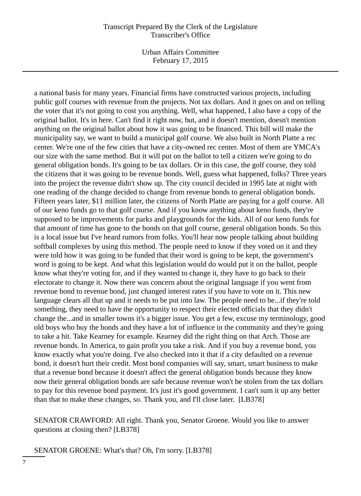Urban Affairs Committee February 17, 2015

a national basis for many years. Financial firms have constructed various projects, including public golf courses with revenue from the projects. Not tax dollars. And it goes on and on telling the voter that it's not going to cost you anything. Well, what happened, I also have a copy of the original ballot. It's in here. Can't find it right now, but, and it doesn't mention, doesn't mention anything on the original ballot about how it was going to be financed. This bill will make the municipality say, we want to build a municipal golf course. We also built in North Platte a rec center. We're one of the few cities that have a city-owned rec center. Most of them are YMCA's our size with the same method. But it will put on the ballot to tell a citizen we're going to do general obligation bonds. It's going to be tax dollars. Or in this case, the golf course, they told the citizens that it was going to be revenue bonds. Well, guess what happened, folks? Three years into the project the revenue didn't show up. The city council decided in 1995 late at night with one reading of the change decided to change from revenue bonds to general obligation bonds. Fifteen years later, \$11 million later, the citizens of North Platte are paying for a golf course. All of our keno funds go to that golf course. And if you know anything about keno funds, they're supposed to be improvements for parks and playgrounds for the kids. All of our keno funds for that amount of time has gone to the bonds on that golf course, general obligation bonds. So this is a local issue but I've heard rumors from folks. You'll hear now people talking about building softball complexes by using this method. The people need to know if they voted on it and they were told how it was going to be funded that their word is going to be kept, the government's word is going to be kept. And what this legislation would do would put it on the ballot, people know what they're voting for, and if they wanted to change it, they have to go back to their electorate to change it. Now there was concern about the original language if you went from revenue bond to revenue bond, just changed interest rates if you have to vote on it. This new language clears all that up and it needs to be put into law. The people need to be...if they're told something, they need to have the opportunity to respect their elected officials that they didn't change the...and in smaller towns it's a bigger issue. You get a few, excuse my terminology, good old boys who buy the bonds and they have a lot of influence in the community and they're going to take a hit. Take Kearney for example. Kearney did the right thing on that Arch. Those are revenue bonds. In America, to gain profit you take a risk. And if you buy a revenue bond, you know exactly what you're doing. I've also checked into it that if a city defaulted on a revenue bond, it doesn't hurt their credit. Most bond companies will say, smart, smart business to make that a revenue bond because it doesn't affect the general obligation bonds because they know now their general obligation bonds are safe because revenue won't be stolen from the tax dollars to pay for this revenue bond payment. It's just it's good government. I can't sum it up any better than that to make these changes, so. Thank you, and I'll close later. [LB378]

SENATOR CRAWFORD: All right. Thank you, Senator Groene. Would you like to answer questions at closing then? [LB378]

SENATOR GROENE: What's that? Oh, I'm sorry. [LB378]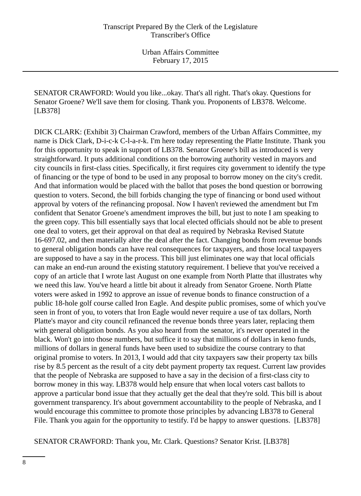SENATOR CRAWFORD: Would you like...okay. That's all right. That's okay. Questions for Senator Groene? We'll save them for closing. Thank you. Proponents of LB378. Welcome. [LB378]

DICK CLARK: (Exhibit 3) Chairman Crawford, members of the Urban Affairs Committee, my name is Dick Clark, D-i-c-k C-l-a-r-k. I'm here today representing the Platte Institute. Thank you for this opportunity to speak in support of LB378. Senator Groene's bill as introduced is very straightforward. It puts additional conditions on the borrowing authority vested in mayors and city councils in first-class cities. Specifically, it first requires city government to identify the type of financing or the type of bond to be used in any proposal to borrow money on the city's credit. And that information would be placed with the ballot that poses the bond question or borrowing question to voters. Second, the bill forbids changing the type of financing or bond used without approval by voters of the refinancing proposal. Now I haven't reviewed the amendment but I'm confident that Senator Groene's amendment improves the bill, but just to note I am speaking to the green copy. This bill essentially says that local elected officials should not be able to present one deal to voters, get their approval on that deal as required by Nebraska Revised Statute 16-697.02, and then materially alter the deal after the fact. Changing bonds from revenue bonds to general obligation bonds can have real consequences for taxpayers, and those local taxpayers are supposed to have a say in the process. This bill just eliminates one way that local officials can make an end-run around the existing statutory requirement. I believe that you've received a copy of an article that I wrote last August on one example from North Platte that illustrates why we need this law. You've heard a little bit about it already from Senator Groene. North Platte voters were asked in 1992 to approve an issue of revenue bonds to finance construction of a public 18-hole golf course called Iron Eagle. And despite public promises, some of which you've seen in front of you, to voters that Iron Eagle would never require a use of tax dollars, North Platte's mayor and city council refinanced the revenue bonds three years later, replacing them with general obligation bonds. As you also heard from the senator, it's never operated in the black. Won't go into those numbers, but suffice it to say that millions of dollars in keno funds, millions of dollars in general funds have been used to subsidize the course contrary to that original promise to voters. In 2013, I would add that city taxpayers saw their property tax bills rise by 8.5 percent as the result of a city debt payment property tax request. Current law provides that the people of Nebraska are supposed to have a say in the decision of a first-class city to borrow money in this way. LB378 would help ensure that when local voters cast ballots to approve a particular bond issue that they actually get the deal that they're sold. This bill is about government transparency. It's about government accountability to the people of Nebraska, and I would encourage this committee to promote those principles by advancing LB378 to General File. Thank you again for the opportunity to testify. I'd be happy to answer questions. [LB378]

SENATOR CRAWFORD: Thank you, Mr. Clark. Questions? Senator Krist. [LB378]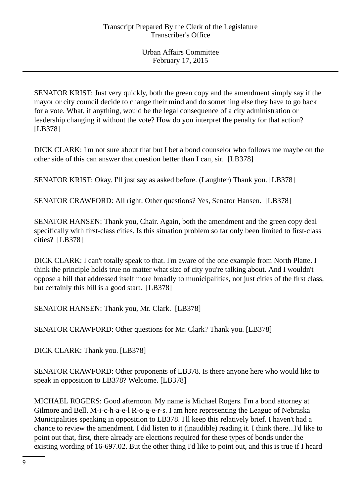SENATOR KRIST: Just very quickly, both the green copy and the amendment simply say if the mayor or city council decide to change their mind and do something else they have to go back for a vote. What, if anything, would be the legal consequence of a city administration or leadership changing it without the vote? How do you interpret the penalty for that action? [LB378]

DICK CLARK: I'm not sure about that but I bet a bond counselor who follows me maybe on the other side of this can answer that question better than I can, sir. [LB378]

SENATOR KRIST: Okay. I'll just say as asked before. (Laughter) Thank you. [LB378]

SENATOR CRAWFORD: All right. Other questions? Yes, Senator Hansen. [LB378]

SENATOR HANSEN: Thank you, Chair. Again, both the amendment and the green copy deal specifically with first-class cities. Is this situation problem so far only been limited to first-class cities? [LB378]

DICK CLARK: I can't totally speak to that. I'm aware of the one example from North Platte. I think the principle holds true no matter what size of city you're talking about. And I wouldn't oppose a bill that addressed itself more broadly to municipalities, not just cities of the first class, but certainly this bill is a good start. [LB378]

SENATOR HANSEN: Thank you, Mr. Clark. [LB378]

SENATOR CRAWFORD: Other questions for Mr. Clark? Thank you. [LB378]

DICK CLARK: Thank you. [LB378]

SENATOR CRAWFORD: Other proponents of LB378. Is there anyone here who would like to speak in opposition to LB378? Welcome. [LB378]

MICHAEL ROGERS: Good afternoon. My name is Michael Rogers. I'm a bond attorney at Gilmore and Bell. M-i-c-h-a-e-l R-o-g-e-r-s. I am here representing the League of Nebraska Municipalities speaking in opposition to LB378. I'll keep this relatively brief. I haven't had a chance to review the amendment. I did listen to it (inaudible) reading it. I think there...I'd like to point out that, first, there already are elections required for these types of bonds under the existing wording of 16-697.02. But the other thing I'd like to point out, and this is true if I heard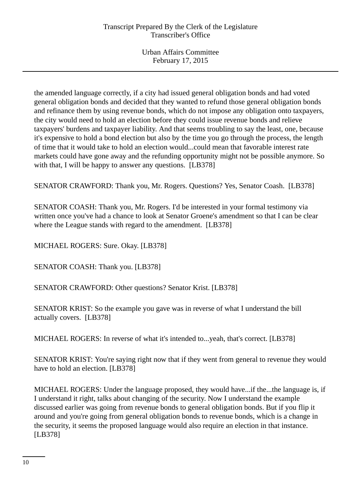the amended language correctly, if a city had issued general obligation bonds and had voted general obligation bonds and decided that they wanted to refund those general obligation bonds and refinance them by using revenue bonds, which do not impose any obligation onto taxpayers, the city would need to hold an election before they could issue revenue bonds and relieve taxpayers' burdens and taxpayer liability. And that seems troubling to say the least, one, because it's expensive to hold a bond election but also by the time you go through the process, the length of time that it would take to hold an election would...could mean that favorable interest rate markets could have gone away and the refunding opportunity might not be possible anymore. So with that, I will be happy to answer any questions. [LB378]

SENATOR CRAWFORD: Thank you, Mr. Rogers. Questions? Yes, Senator Coash. [LB378]

SENATOR COASH: Thank you, Mr. Rogers. I'd be interested in your formal testimony via written once you've had a chance to look at Senator Groene's amendment so that I can be clear where the League stands with regard to the amendment. [LB378]

MICHAEL ROGERS: Sure. Okay. [LB378]

SENATOR COASH: Thank you. [LB378]

SENATOR CRAWFORD: Other questions? Senator Krist. [LB378]

SENATOR KRIST: So the example you gave was in reverse of what I understand the bill actually covers. [LB378]

MICHAEL ROGERS: In reverse of what it's intended to...yeah, that's correct. [LB378]

SENATOR KRIST: You're saying right now that if they went from general to revenue they would have to hold an election. [LB378]

MICHAEL ROGERS: Under the language proposed, they would have...if the...the language is, if I understand it right, talks about changing of the security. Now I understand the example discussed earlier was going from revenue bonds to general obligation bonds. But if you flip it around and you're going from general obligation bonds to revenue bonds, which is a change in the security, it seems the proposed language would also require an election in that instance. [LB378]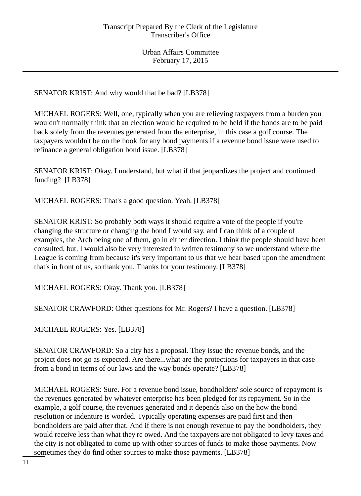SENATOR KRIST: And why would that be bad? [LB378]

MICHAEL ROGERS: Well, one, typically when you are relieving taxpayers from a burden you wouldn't normally think that an election would be required to be held if the bonds are to be paid back solely from the revenues generated from the enterprise, in this case a golf course. The taxpayers wouldn't be on the hook for any bond payments if a revenue bond issue were used to refinance a general obligation bond issue. [LB378]

SENATOR KRIST: Okay. I understand, but what if that jeopardizes the project and continued funding? [LB378]

MICHAEL ROGERS: That's a good question. Yeah. [LB378]

SENATOR KRIST: So probably both ways it should require a vote of the people if you're changing the structure or changing the bond I would say, and I can think of a couple of examples, the Arch being one of them, go in either direction. I think the people should have been consulted, but. I would also be very interested in written testimony so we understand where the League is coming from because it's very important to us that we hear based upon the amendment that's in front of us, so thank you. Thanks for your testimony. [LB378]

MICHAEL ROGERS: Okay. Thank you. [LB378]

SENATOR CRAWFORD: Other questions for Mr. Rogers? I have a question. [LB378]

MICHAEL ROGERS: Yes. [LB378]

SENATOR CRAWFORD: So a city has a proposal. They issue the revenue bonds, and the project does not go as expected. Are there...what are the protections for taxpayers in that case from a bond in terms of our laws and the way bonds operate? [LB378]

MICHAEL ROGERS: Sure. For a revenue bond issue, bondholders' sole source of repayment is the revenues generated by whatever enterprise has been pledged for its repayment. So in the example, a golf course, the revenues generated and it depends also on the how the bond resolution or indenture is worded. Typically operating expenses are paid first and then bondholders are paid after that. And if there is not enough revenue to pay the bondholders, they would receive less than what they're owed. And the taxpayers are not obligated to levy taxes and the city is not obligated to come up with other sources of funds to make those payments. Now sometimes they do find other sources to make those payments. [LB378]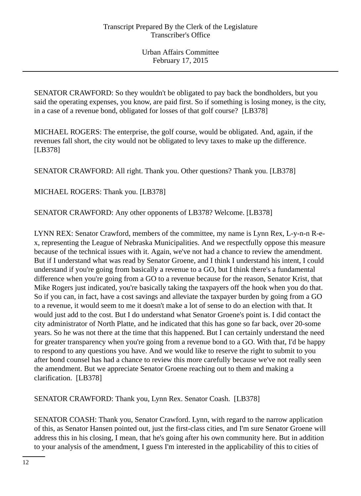SENATOR CRAWFORD: So they wouldn't be obligated to pay back the bondholders, but you said the operating expenses, you know, are paid first. So if something is losing money, is the city, in a case of a revenue bond, obligated for losses of that golf course? [LB378]

MICHAEL ROGERS: The enterprise, the golf course, would be obligated. And, again, if the revenues fall short, the city would not be obligated to levy taxes to make up the difference. [LB378]

SENATOR CRAWFORD: All right. Thank you. Other questions? Thank you. [LB378]

MICHAEL ROGERS: Thank you. [LB378]

SENATOR CRAWFORD: Any other opponents of LB378? Welcome. [LB378]

LYNN REX: Senator Crawford, members of the committee, my name is Lynn Rex, L-y-n-n R-ex, representing the League of Nebraska Municipalities. And we respectfully oppose this measure because of the technical issues with it. Again, we've not had a chance to review the amendment. But if I understand what was read by Senator Groene, and I think I understand his intent, I could understand if you're going from basically a revenue to a GO, but I think there's a fundamental difference when you're going from a GO to a revenue because for the reason, Senator Krist, that Mike Rogers just indicated, you're basically taking the taxpayers off the hook when you do that. So if you can, in fact, have a cost savings and alleviate the taxpayer burden by going from a GO to a revenue, it would seem to me it doesn't make a lot of sense to do an election with that. It would just add to the cost. But I do understand what Senator Groene's point is. I did contact the city administrator of North Platte, and he indicated that this has gone so far back, over 20-some years. So he was not there at the time that this happened. But I can certainly understand the need for greater transparency when you're going from a revenue bond to a GO. With that, I'd be happy to respond to any questions you have. And we would like to reserve the right to submit to you after bond counsel has had a chance to review this more carefully because we've not really seen the amendment. But we appreciate Senator Groene reaching out to them and making a clarification. [LB378]

SENATOR CRAWFORD: Thank you, Lynn Rex. Senator Coash. [LB378]

SENATOR COASH: Thank you, Senator Crawford. Lynn, with regard to the narrow application of this, as Senator Hansen pointed out, just the first-class cities, and I'm sure Senator Groene will address this in his closing, I mean, that he's going after his own community here. But in addition to your analysis of the amendment, I guess I'm interested in the applicability of this to cities of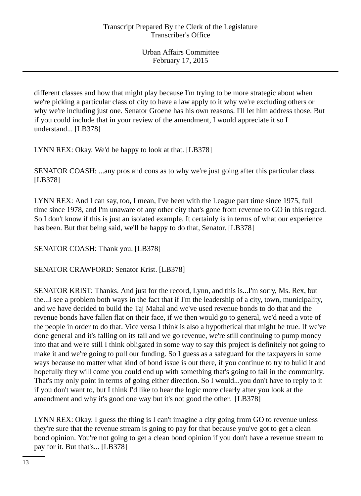different classes and how that might play because I'm trying to be more strategic about when we're picking a particular class of city to have a law apply to it why we're excluding others or why we're including just one. Senator Groene has his own reasons. I'll let him address those. But if you could include that in your review of the amendment, I would appreciate it so I understand... [LB378]

LYNN REX: Okay. We'd be happy to look at that. [LB378]

SENATOR COASH: ...any pros and cons as to why we're just going after this particular class. [LB378]

LYNN REX: And I can say, too, I mean, I've been with the League part time since 1975, full time since 1978, and I'm unaware of any other city that's gone from revenue to GO in this regard. So I don't know if this is just an isolated example. It certainly is in terms of what our experience has been. But that being said, we'll be happy to do that, Senator. [LB378]

SENATOR COASH: Thank you. [LB378]

SENATOR CRAWFORD: Senator Krist. [LB378]

SENATOR KRIST: Thanks. And just for the record, Lynn, and this is...I'm sorry, Ms. Rex, but the...I see a problem both ways in the fact that if I'm the leadership of a city, town, municipality, and we have decided to build the Taj Mahal and we've used revenue bonds to do that and the revenue bonds have fallen flat on their face, if we then would go to general, we'd need a vote of the people in order to do that. Vice versa I think is also a hypothetical that might be true. If we've done general and it's falling on its tail and we go revenue, we're still continuing to pump money into that and we're still I think obligated in some way to say this project is definitely not going to make it and we're going to pull our funding. So I guess as a safeguard for the taxpayers in some ways because no matter what kind of bond issue is out there, if you continue to try to build it and hopefully they will come you could end up with something that's going to fail in the community. That's my only point in terms of going either direction. So I would...you don't have to reply to it if you don't want to, but I think I'd like to hear the logic more clearly after you look at the amendment and why it's good one way but it's not good the other. [LB378]

LYNN REX: Okay. I guess the thing is I can't imagine a city going from GO to revenue unless they're sure that the revenue stream is going to pay for that because you've got to get a clean bond opinion. You're not going to get a clean bond opinion if you don't have a revenue stream to pay for it. But that's... [LB378]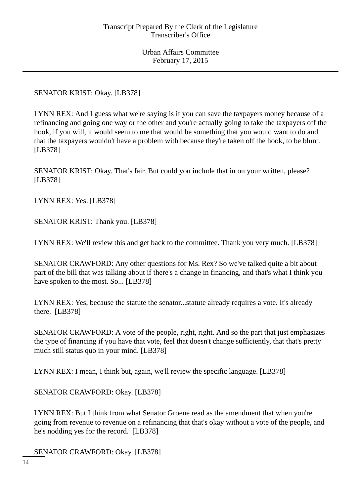SENATOR KRIST: Okay. [LB378]

LYNN REX: And I guess what we're saying is if you can save the taxpayers money because of a refinancing and going one way or the other and you're actually going to take the taxpayers off the hook, if you will, it would seem to me that would be something that you would want to do and that the taxpayers wouldn't have a problem with because they're taken off the hook, to be blunt. [LB378]

SENATOR KRIST: Okay. That's fair. But could you include that in on your written, please? [LB378]

LYNN REX: Yes. [LB378]

SENATOR KRIST: Thank you. [LB378]

LYNN REX: We'll review this and get back to the committee. Thank you very much. [LB378]

SENATOR CRAWFORD: Any other questions for Ms. Rex? So we've talked quite a bit about part of the bill that was talking about if there's a change in financing, and that's what I think you have spoken to the most. So... [LB378]

LYNN REX: Yes, because the statute the senator...statute already requires a vote. It's already there. [LB378]

SENATOR CRAWFORD: A vote of the people, right, right. And so the part that just emphasizes the type of financing if you have that vote, feel that doesn't change sufficiently, that that's pretty much still status quo in your mind. [LB378]

LYNN REX: I mean, I think but, again, we'll review the specific language. [LB378]

SENATOR CRAWFORD: Okay. [LB378]

LYNN REX: But I think from what Senator Groene read as the amendment that when you're going from revenue to revenue on a refinancing that that's okay without a vote of the people, and he's nodding yes for the record. [LB378]

SENATOR CRAWFORD: Okay. [LB378]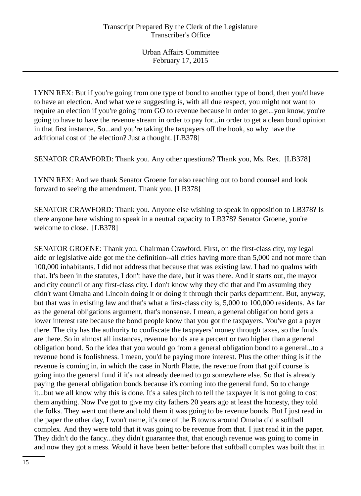LYNN REX: But if you're going from one type of bond to another type of bond, then you'd have to have an election. And what we're suggesting is, with all due respect, you might not want to require an election if you're going from GO to revenue because in order to get...you know, you're going to have to have the revenue stream in order to pay for...in order to get a clean bond opinion in that first instance. So...and you're taking the taxpayers off the hook, so why have the additional cost of the election? Just a thought. [LB378]

SENATOR CRAWFORD: Thank you. Any other questions? Thank you, Ms. Rex. [LB378]

LYNN REX: And we thank Senator Groene for also reaching out to bond counsel and look forward to seeing the amendment. Thank you. [LB378]

SENATOR CRAWFORD: Thank you. Anyone else wishing to speak in opposition to LB378? Is there anyone here wishing to speak in a neutral capacity to LB378? Senator Groene, you're welcome to close. [LB378]

SENATOR GROENE: Thank you, Chairman Crawford. First, on the first-class city, my legal aide or legislative aide got me the definition--all cities having more than 5,000 and not more than 100,000 inhabitants. I did not address that because that was existing law. I had no qualms with that. It's been in the statutes, I don't have the date, but it was there. And it starts out, the mayor and city council of any first-class city. I don't know why they did that and I'm assuming they didn't want Omaha and Lincoln doing it or doing it through their parks department. But, anyway, but that was in existing law and that's what a first-class city is, 5,000 to 100,000 residents. As far as the general obligations argument, that's nonsense. I mean, a general obligation bond gets a lower interest rate because the bond people know that you got the taxpayers. You've got a payer there. The city has the authority to confiscate the taxpayers' money through taxes, so the funds are there. So in almost all instances, revenue bonds are a percent or two higher than a general obligation bond. So the idea that you would go from a general obligation bond to a general...to a revenue bond is foolishness. I mean, you'd be paying more interest. Plus the other thing is if the revenue is coming in, in which the case in North Platte, the revenue from that golf course is going into the general fund if it's not already deemed to go somewhere else. So that is already paying the general obligation bonds because it's coming into the general fund. So to change it...but we all know why this is done. It's a sales pitch to tell the taxpayer it is not going to cost them anything. Now I've got to give my city fathers 20 years ago at least the honesty, they told the folks. They went out there and told them it was going to be revenue bonds. But I just read in the paper the other day, I won't name, it's one of the B towns around Omaha did a softball complex. And they were told that it was going to be revenue from that. I just read it in the paper. They didn't do the fancy...they didn't guarantee that, that enough revenue was going to come in and now they got a mess. Would it have been better before that softball complex was built that in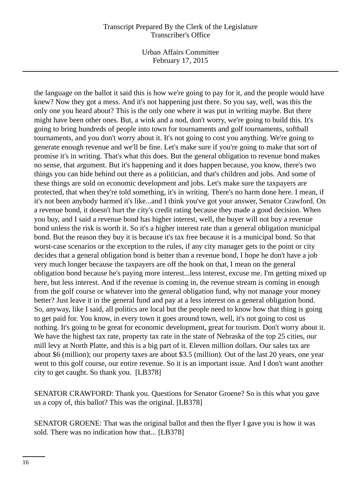Urban Affairs Committee February 17, 2015

the language on the ballot it said this is how we're going to pay for it, and the people would have knew? Now they got a mess. And it's not happening just there. So you say, well, was this the only one you heard about? This is the only one where it was put in writing maybe. But there might have been other ones. But, a wink and a nod, don't worry, we're going to build this. It's going to bring hundreds of people into town for tournaments and golf tournaments, softball tournaments, and you don't worry about it. It's not going to cost you anything. We're going to generate enough revenue and we'll be fine. Let's make sure if you're going to make that sort of promise it's in writing. That's what this does. But the general obligation to revenue bond makes no sense, that argument. But it's happening and it does happen because, you know, there's two things you can hide behind out there as a politician, and that's children and jobs. And some of these things are sold on economic development and jobs. Let's make sure the taxpayers are protected, that when they're told something, it's in writing. There's no harm done here. I mean, if it's not been anybody harmed it's like...and I think you've got your answer, Senator Crawford. On a revenue bond, it doesn't hurt the city's credit rating because they made a good decision. When you buy, and I said a revenue bond has higher interest, well, the buyer will not buy a revenue bond unless the risk is worth it. So it's a higher interest rate than a general obligation municipal bond. But the reason they buy it is because it's tax free because it is a municipal bond. So that worst-case scenarios or the exception to the rules, if any city manager gets to the point or city decides that a general obligation bond is better than a revenue bond, I hope he don't have a job very much longer because the taxpayers are off the hook on that, I mean on the general obligation bond because he's paying more interest...less interest, excuse me. I'm getting mixed up here, but less interest. And if the revenue is coming in, the revenue stream is coming in enough from the golf course or whatever into the general obligation fund, why not manage your money better? Just leave it in the general fund and pay at a less interest on a general obligation bond. So, anyway, like I said, all politics are local but the people need to know how that thing is going to get paid for. You know, in every town it goes around town, well, it's not going to cost us nothing. It's going to be great for economic development, great for tourism. Don't worry about it. We have the highest tax rate, property tax rate in the state of Nebraska of the top 25 cities, our mill levy at North Platte, and this is a big part of it. Eleven million dollars. Our sales tax are about \$6 (million); our property taxes are about \$3.5 (million). Out of the last 20 years, one year went to this golf course, our entire revenue. So it is an important issue. And I don't want another city to get caught. So thank you. [LB378]

SENATOR CRAWFORD: Thank you. Questions for Senator Groene? So is this what you gave us a copy of, this ballot? This was the original. [LB378]

SENATOR GROENE: That was the original ballot and then the flyer I gave you is how it was sold. There was no indication how that... [LB378]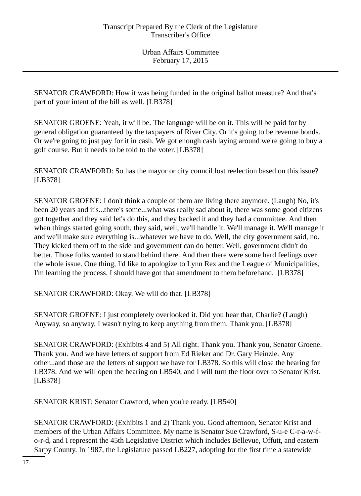SENATOR CRAWFORD: How it was being funded in the original ballot measure? And that's part of your intent of the bill as well. [LB378]

SENATOR GROENE: Yeah, it will be. The language will be on it. This will be paid for by general obligation guaranteed by the taxpayers of River City. Or it's going to be revenue bonds. Or we're going to just pay for it in cash. We got enough cash laying around we're going to buy a golf course. But it needs to be told to the voter. [LB378]

SENATOR CRAWFORD: So has the mayor or city council lost reelection based on this issue? [LB378]

SENATOR GROENE: I don't think a couple of them are living there anymore. (Laugh) No, it's been 20 years and it's...there's some...what was really sad about it, there was some good citizens got together and they said let's do this, and they backed it and they had a committee. And then when things started going south, they said, well, we'll handle it. We'll manage it. We'll manage it and we'll make sure everything is...whatever we have to do. Well, the city government said, no. They kicked them off to the side and government can do better. Well, government didn't do better. Those folks wanted to stand behind there. And then there were some hard feelings over the whole issue. One thing, I'd like to apologize to Lynn Rex and the League of Municipalities, I'm learning the process. I should have got that amendment to them beforehand. [LB378]

SENATOR CRAWFORD: Okay. We will do that. [LB378]

SENATOR GROENE: I just completely overlooked it. Did you hear that, Charlie? (Laugh) Anyway, so anyway, I wasn't trying to keep anything from them. Thank you. [LB378]

SENATOR CRAWFORD: (Exhibits 4 and 5) All right. Thank you. Thank you, Senator Groene. Thank you. And we have letters of support from Ed Rieker and Dr. Gary Heinzle. Any other...and those are the letters of support we have for LB378. So this will close the hearing for LB378. And we will open the hearing on LB540, and I will turn the floor over to Senator Krist. [LB378]

SENATOR KRIST: Senator Crawford, when you're ready. [LB540]

SENATOR CRAWFORD: (Exhibits 1 and 2) Thank you. Good afternoon, Senator Krist and members of the Urban Affairs Committee. My name is Senator Sue Crawford, S-u-e C-r-a-w-fo-r-d, and I represent the 45th Legislative District which includes Bellevue, Offutt, and eastern Sarpy County. In 1987, the Legislature passed LB227, adopting for the first time a statewide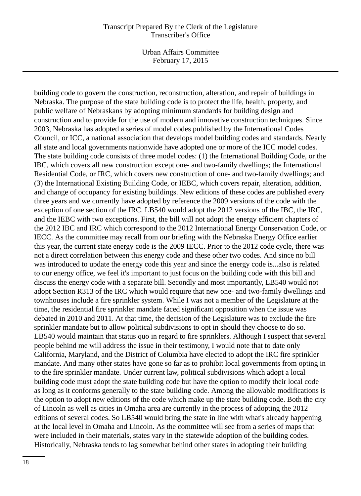Urban Affairs Committee February 17, 2015

building code to govern the construction, reconstruction, alteration, and repair of buildings in Nebraska. The purpose of the state building code is to protect the life, health, property, and public welfare of Nebraskans by adopting minimum standards for building design and construction and to provide for the use of modern and innovative construction techniques. Since 2003, Nebraska has adopted a series of model codes published by the International Codes Council, or ICC, a national association that develops model building codes and standards. Nearly all state and local governments nationwide have adopted one or more of the ICC model codes. The state building code consists of three model codes: (1) the International Building Code, or the IBC, which covers all new construction except one- and two-family dwellings; the International Residential Code, or IRC, which covers new construction of one- and two-family dwellings; and (3) the International Existing Building Code, or IEBC, which covers repair, alteration, addition, and change of occupancy for existing buildings. New editions of these codes are published every three years and we currently have adopted by reference the 2009 versions of the code with the exception of one section of the IRC. LB540 would adopt the 2012 versions of the IBC, the IRC, and the IEBC with two exceptions. First, the bill will not adopt the energy efficient chapters of the 2012 IBC and IRC which correspond to the 2012 International Energy Conservation Code, or IECC. As the committee may recall from our briefing with the Nebraska Energy Office earlier this year, the current state energy code is the 2009 IECC. Prior to the 2012 code cycle, there was not a direct correlation between this energy code and these other two codes. And since no bill was introduced to update the energy code this year and since the energy code is...also is related to our energy office, we feel it's important to just focus on the building code with this bill and discuss the energy code with a separate bill. Secondly and most importantly, LB540 would not adopt Section R313 of the IRC which would require that new one- and two-family dwellings and townhouses include a fire sprinkler system. While I was not a member of the Legislature at the time, the residential fire sprinkler mandate faced significant opposition when the issue was debated in 2010 and 2011. At that time, the decision of the Legislature was to exclude the fire sprinkler mandate but to allow political subdivisions to opt in should they choose to do so. LB540 would maintain that status quo in regard to fire sprinklers. Although I suspect that several people behind me will address the issue in their testimony, I would note that to date only California, Maryland, and the District of Columbia have elected to adopt the IRC fire sprinkler mandate. And many other states have gone so far as to prohibit local governments from opting in to the fire sprinkler mandate. Under current law, political subdivisions which adopt a local building code must adopt the state building code but have the option to modify their local code as long as it conforms generally to the state building code. Among the allowable modifications is the option to adopt new editions of the code which make up the state building code. Both the city of Lincoln as well as cities in Omaha area are currently in the process of adopting the 2012 editions of several codes. So LB540 would bring the state in line with what's already happening at the local level in Omaha and Lincoln. As the committee will see from a series of maps that were included in their materials, states vary in the statewide adoption of the building codes. Historically, Nebraska tends to lag somewhat behind other states in adopting their building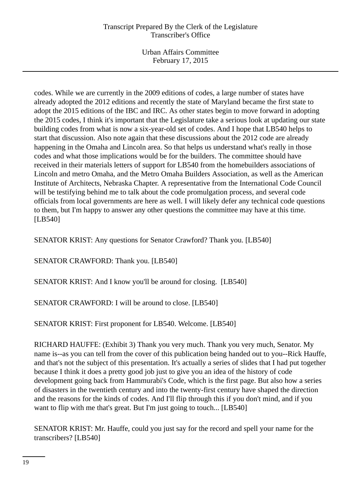Urban Affairs Committee February 17, 2015

codes. While we are currently in the 2009 editions of codes, a large number of states have already adopted the 2012 editions and recently the state of Maryland became the first state to adopt the 2015 editions of the IBC and IRC. As other states begin to move forward in adopting the 2015 codes, I think it's important that the Legislature take a serious look at updating our state building codes from what is now a six-year-old set of codes. And I hope that LB540 helps to start that discussion. Also note again that these discussions about the 2012 code are already happening in the Omaha and Lincoln area. So that helps us understand what's really in those codes and what those implications would be for the builders. The committee should have received in their materials letters of support for LB540 from the homebuilders associations of Lincoln and metro Omaha, and the Metro Omaha Builders Association, as well as the American Institute of Architects, Nebraska Chapter. A representative from the International Code Council will be testifying behind me to talk about the code promulgation process, and several code officials from local governments are here as well. I will likely defer any technical code questions to them, but I'm happy to answer any other questions the committee may have at this time. [LB540]

SENATOR KRIST: Any questions for Senator Crawford? Thank you. [LB540]

SENATOR CRAWFORD: Thank you. [LB540]

SENATOR KRIST: And I know you'll be around for closing. [LB540]

SENATOR CRAWFORD: I will be around to close. [LB540]

SENATOR KRIST: First proponent for LB540. Welcome. [LB540]

RICHARD HAUFFE: (Exhibit 3) Thank you very much. Thank you very much, Senator. My name is--as you can tell from the cover of this publication being handed out to you--Rick Hauffe, and that's not the subject of this presentation. It's actually a series of slides that I had put together because I think it does a pretty good job just to give you an idea of the history of code development going back from Hammurabi's Code, which is the first page. But also how a series of disasters in the twentieth century and into the twenty-first century have shaped the direction and the reasons for the kinds of codes. And I'll flip through this if you don't mind, and if you want to flip with me that's great. But I'm just going to touch... [LB540]

SENATOR KRIST: Mr. Hauffe, could you just say for the record and spell your name for the transcribers? [LB540]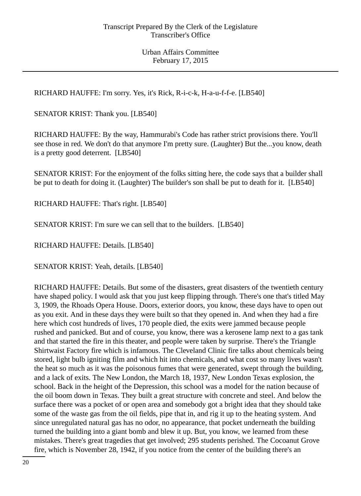RICHARD HAUFFE: I'm sorry. Yes, it's Rick, R-i-c-k, H-a-u-f-f-e. [LB540]

SENATOR KRIST: Thank you. [LB540]

RICHARD HAUFFE: By the way, Hammurabi's Code has rather strict provisions there. You'll see those in red. We don't do that anymore I'm pretty sure. (Laughter) But the...you know, death is a pretty good deterrent. [LB540]

SENATOR KRIST: For the enjoyment of the folks sitting here, the code says that a builder shall be put to death for doing it. (Laughter) The builder's son shall be put to death for it. [LB540]

RICHARD HAUFFE: That's right. [LB540]

SENATOR KRIST: I'm sure we can sell that to the builders. [LB540]

RICHARD HAUFFE: Details. [LB540]

SENATOR KRIST: Yeah, details. [LB540]

RICHARD HAUFFE: Details. But some of the disasters, great disasters of the twentieth century have shaped policy. I would ask that you just keep flipping through. There's one that's titled May 3, 1909, the Rhoads Opera House. Doors, exterior doors, you know, these days have to open out as you exit. And in these days they were built so that they opened in. And when they had a fire here which cost hundreds of lives, 170 people died, the exits were jammed because people rushed and panicked. But and of course, you know, there was a kerosene lamp next to a gas tank and that started the fire in this theater, and people were taken by surprise. There's the Triangle Shirtwaist Factory fire which is infamous. The Cleveland Clinic fire talks about chemicals being stored, light bulb igniting film and which hit into chemicals, and what cost so many lives wasn't the heat so much as it was the poisonous fumes that were generated, swept through the building, and a lack of exits. The New London, the March 18, 1937, New London Texas explosion, the school. Back in the height of the Depression, this school was a model for the nation because of the oil boom down in Texas. They built a great structure with concrete and steel. And below the surface there was a pocket of or open area and somebody got a bright idea that they should take some of the waste gas from the oil fields, pipe that in, and rig it up to the heating system. And since unregulated natural gas has no odor, no appearance, that pocket underneath the building turned the building into a giant bomb and blew it up. But, you know, we learned from these mistakes. There's great tragedies that get involved; 295 students perished. The Cocoanut Grove fire, which is November 28, 1942, if you notice from the center of the building there's an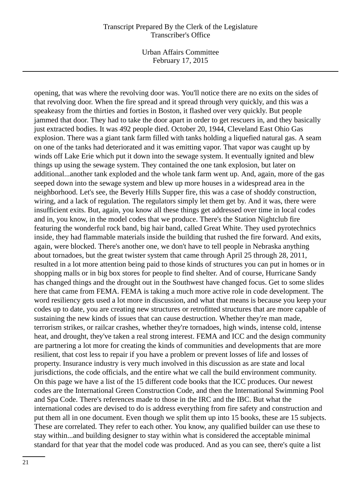Urban Affairs Committee February 17, 2015

opening, that was where the revolving door was. You'll notice there are no exits on the sides of that revolving door. When the fire spread and it spread through very quickly, and this was a speakeasy from the thirties and forties in Boston, it flashed over very quickly. But people jammed that door. They had to take the door apart in order to get rescuers in, and they basically just extracted bodies. It was 492 people died. October 20, 1944, Cleveland East Ohio Gas explosion. There was a giant tank farm filled with tanks holding a liquefied natural gas. A seam on one of the tanks had deteriorated and it was emitting vapor. That vapor was caught up by winds off Lake Erie which put it down into the sewage system. It eventually ignited and blew things up using the sewage system. They contained the one tank explosion, but later on additional...another tank exploded and the whole tank farm went up. And, again, more of the gas seeped down into the sewage system and blew up more houses in a widespread area in the neighborhood. Let's see, the Beverly Hills Supper fire, this was a case of shoddy construction, wiring, and a lack of regulation. The regulators simply let them get by. And it was, there were insufficient exits. But, again, you know all these things get addressed over time in local codes and in, you know, in the model codes that we produce. There's the Station Nightclub fire featuring the wonderful rock band, big hair band, called Great White. They used pyrotechnics inside, they had flammable materials inside the building that rushed the fire forward. And exits, again, were blocked. There's another one, we don't have to tell people in Nebraska anything about tornadoes, but the great twister system that came through April 25 through 28, 2011, resulted in a lot more attention being paid to those kinds of structures you can put in homes or in shopping malls or in big box stores for people to find shelter. And of course, Hurricane Sandy has changed things and the drought out in the Southwest have changed focus. Get to some slides here that came from FEMA. FEMA is taking a much more active role in code development. The word resiliency gets used a lot more in discussion, and what that means is because you keep your codes up to date, you are creating new structures or retrofitted structures that are more capable of sustaining the new kinds of issues that can cause destruction. Whether they're man made, terrorism strikes, or railcar crashes, whether they're tornadoes, high winds, intense cold, intense heat, and drought, they've taken a real strong interest. FEMA and ICC and the design community are partnering a lot more for creating the kinds of communities and developments that are more resilient, that cost less to repair if you have a problem or prevent losses of life and losses of property. Insurance industry is very much involved in this discussion as are state and local jurisdictions, the code officials, and the entire what we call the build environment community. On this page we have a list of the 15 different code books that the ICC produces. Our newest codes are the International Green Construction Code, and then the International Swimming Pool and Spa Code. There's references made to those in the IRC and the IBC. But what the international codes are devised to do is address everything from fire safety and construction and put them all in one document. Even though we split them up into 15 books, these are 15 subjects. These are correlated. They refer to each other. You know, any qualified builder can use these to stay within...and building designer to stay within what is considered the acceptable minimal standard for that year that the model code was produced. And as you can see, there's quite a list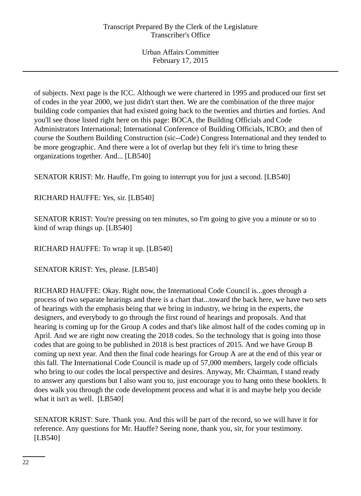of subjects. Next page is the ICC. Although we were chartered in 1995 and produced our first set of codes in the year 2000, we just didn't start then. We are the combination of the three major building code companies that had existed going back to the twenties and thirties and forties. And you'll see those listed right here on this page: BOCA, the Building Officials and Code Administrators International; International Conference of Building Officials, ICBO; and then of course the Southern Building Construction (sic--Code) Congress International and they tended to be more geographic. And there were a lot of overlap but they felt it's time to bring these organizations together. And... [LB540]

SENATOR KRIST: Mr. Hauffe, I'm going to interrupt you for just a second. [LB540]

RICHARD HAUFFE: Yes, sir. [LB540]

SENATOR KRIST: You're pressing on ten minutes, so I'm going to give you a minute or so to kind of wrap things up. [LB540]

RICHARD HAUFFE: To wrap it up. [LB540]

SENATOR KRIST: Yes, please. [LB540]

RICHARD HAUFFE: Okay. Right now, the International Code Council is...goes through a process of two separate hearings and there is a chart that...toward the back here, we have two sets of hearings with the emphasis being that we bring in industry, we bring in the experts, the designers, and everybody to go through the first round of hearings and proposals. And that hearing is coming up for the Group A codes and that's like almost half of the codes coming up in April. And we are right now creating the 2018 codes. So the technology that is going into those codes that are going to be published in 2018 is best practices of 2015. And we have Group B coming up next year. And then the final code hearings for Group A are at the end of this year or this fall. The International Code Council is made up of 57,000 members, largely code officials who bring to our codes the local perspective and desires. Anyway, Mr. Chairman, I stand ready to answer any questions but I also want you to, just encourage you to hang onto these booklets. It does walk you through the code development process and what it is and maybe help you decide what it isn't as well. [LB540]

SENATOR KRIST: Sure. Thank you. And this will be part of the record, so we will have it for reference. Any questions for Mr. Hauffe? Seeing none, thank you, sir, for your testimony. [LB540]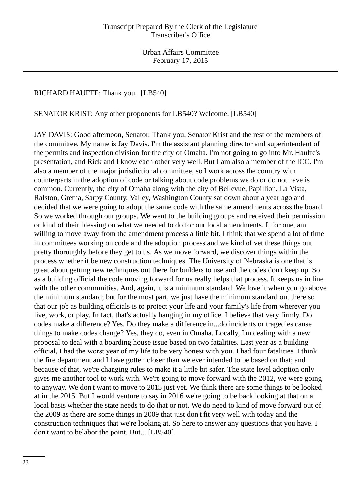### RICHARD HAUFFE: Thank you. [LB540]

#### SENATOR KRIST: Any other proponents for LB540? Welcome. [LB540]

JAY DAVIS: Good afternoon, Senator. Thank you, Senator Krist and the rest of the members of the committee. My name is Jay Davis. I'm the assistant planning director and superintendent of the permits and inspection division for the city of Omaha. I'm not going to go into Mr. Hauffe's presentation, and Rick and I know each other very well. But I am also a member of the ICC. I'm also a member of the major jurisdictional committee, so I work across the country with counterparts in the adoption of code or talking about code problems we do or do not have is common. Currently, the city of Omaha along with the city of Bellevue, Papillion, La Vista, Ralston, Gretna, Sarpy County, Valley, Washington County sat down about a year ago and decided that we were going to adopt the same code with the same amendments across the board. So we worked through our groups. We went to the building groups and received their permission or kind of their blessing on what we needed to do for our local amendments. I, for one, am willing to move away from the amendment process a little bit. I think that we spend a lot of time in committees working on code and the adoption process and we kind of vet these things out pretty thoroughly before they get to us. As we move forward, we discover things within the process whether it be new construction techniques. The University of Nebraska is one that is great about getting new techniques out there for builders to use and the codes don't keep up. So as a building official the code moving forward for us really helps that process. It keeps us in line with the other communities. And, again, it is a minimum standard. We love it when you go above the minimum standard; but for the most part, we just have the minimum standard out there so that our job as building officials is to protect your life and your family's life from wherever you live, work, or play. In fact, that's actually hanging in my office. I believe that very firmly. Do codes make a difference? Yes. Do they make a difference in...do incidents or tragedies cause things to make codes change? Yes, they do, even in Omaha. Locally, I'm dealing with a new proposal to deal with a boarding house issue based on two fatalities. Last year as a building official, I had the worst year of my life to be very honest with you. I had four fatalities. I think the fire department and I have gotten closer than we ever intended to be based on that; and because of that, we're changing rules to make it a little bit safer. The state level adoption only gives me another tool to work with. We're going to move forward with the 2012, we were going to anyway. We don't want to move to 2015 just yet. We think there are some things to be looked at in the 2015. But I would venture to say in 2016 we're going to be back looking at that on a local basis whether the state needs to do that or not. We do need to kind of move forward out of the 2009 as there are some things in 2009 that just don't fit very well with today and the construction techniques that we're looking at. So here to answer any questions that you have. I don't want to belabor the point. But... [LB540]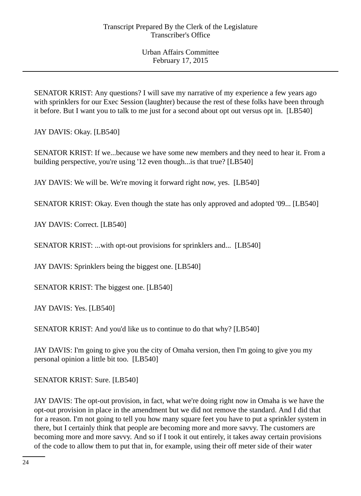SENATOR KRIST: Any questions? I will save my narrative of my experience a few years ago with sprinklers for our Exec Session (laughter) because the rest of these folks have been through it before. But I want you to talk to me just for a second about opt out versus opt in. [LB540]

JAY DAVIS: Okay. [LB540]

SENATOR KRIST: If we...because we have some new members and they need to hear it. From a building perspective, you're using '12 even though...is that true? [LB540]

JAY DAVIS: We will be. We're moving it forward right now, yes. [LB540]

SENATOR KRIST: Okay. Even though the state has only approved and adopted '09... [LB540]

JAY DAVIS: Correct. [LB540]

SENATOR KRIST: ...with opt-out provisions for sprinklers and... [LB540]

JAY DAVIS: Sprinklers being the biggest one. [LB540]

SENATOR KRIST: The biggest one. [LB540]

JAY DAVIS: Yes. [LB540]

SENATOR KRIST: And you'd like us to continue to do that why? [LB540]

JAY DAVIS: I'm going to give you the city of Omaha version, then I'm going to give you my personal opinion a little bit too. [LB540]

SENATOR KRIST: Sure. [LB540]

JAY DAVIS: The opt-out provision, in fact, what we're doing right now in Omaha is we have the opt-out provision in place in the amendment but we did not remove the standard. And I did that for a reason. I'm not going to tell you how many square feet you have to put a sprinkler system in there, but I certainly think that people are becoming more and more savvy. The customers are becoming more and more savvy. And so if I took it out entirely, it takes away certain provisions of the code to allow them to put that in, for example, using their off meter side of their water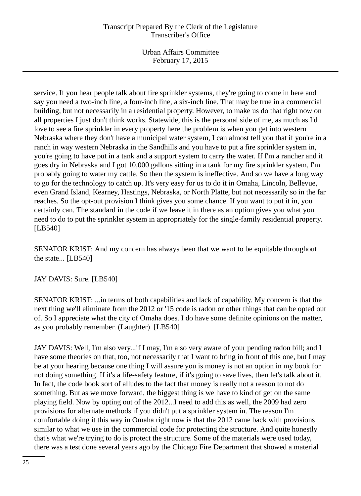Urban Affairs Committee February 17, 2015

service. If you hear people talk about fire sprinkler systems, they're going to come in here and say you need a two-inch line, a four-inch line, a six-inch line. That may be true in a commercial building, but not necessarily in a residential property. However, to make us do that right now on all properties I just don't think works. Statewide, this is the personal side of me, as much as I'd love to see a fire sprinkler in every property here the problem is when you get into western Nebraska where they don't have a municipal water system, I can almost tell you that if you're in a ranch in way western Nebraska in the Sandhills and you have to put a fire sprinkler system in, you're going to have put in a tank and a support system to carry the water. If I'm a rancher and it goes dry in Nebraska and I got 10,000 gallons sitting in a tank for my fire sprinkler system, I'm probably going to water my cattle. So then the system is ineffective. And so we have a long way to go for the technology to catch up. It's very easy for us to do it in Omaha, Lincoln, Bellevue, even Grand Island, Kearney, Hastings, Nebraska, or North Platte, but not necessarily so in the far reaches. So the opt-out provision I think gives you some chance. If you want to put it in, you certainly can. The standard in the code if we leave it in there as an option gives you what you need to do to put the sprinkler system in appropriately for the single-family residential property. [LB540]

SENATOR KRIST: And my concern has always been that we want to be equitable throughout the state... [LB540]

JAY DAVIS: Sure. [LB540]

SENATOR KRIST: ...in terms of both capabilities and lack of capability. My concern is that the next thing we'll eliminate from the 2012 or '15 code is radon or other things that can be opted out of. So I appreciate what the city of Omaha does. I do have some definite opinions on the matter, as you probably remember. (Laughter) [LB540]

JAY DAVIS: Well, I'm also very...if I may, I'm also very aware of your pending radon bill; and I have some theories on that, too, not necessarily that I want to bring in front of this one, but I may be at your hearing because one thing I will assure you is money is not an option in my book for not doing something. If it's a life-safety feature, if it's going to save lives, then let's talk about it. In fact, the code book sort of alludes to the fact that money is really not a reason to not do something. But as we move forward, the biggest thing is we have to kind of get on the same playing field. Now by opting out of the 2012...I need to add this as well, the 2009 had zero provisions for alternate methods if you didn't put a sprinkler system in. The reason I'm comfortable doing it this way in Omaha right now is that the 2012 came back with provisions similar to what we use in the commercial code for protecting the structure. And quite honestly that's what we're trying to do is protect the structure. Some of the materials were used today, there was a test done several years ago by the Chicago Fire Department that showed a material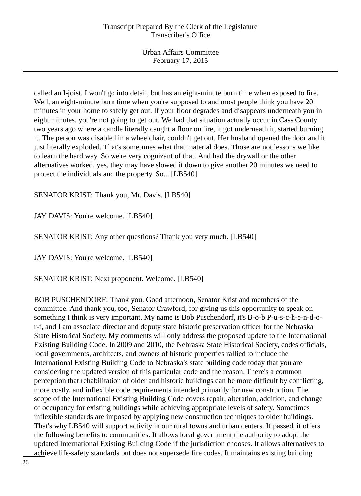Urban Affairs Committee February 17, 2015

called an I-joist. I won't go into detail, but has an eight-minute burn time when exposed to fire. Well, an eight-minute burn time when you're supposed to and most people think you have 20 minutes in your home to safely get out. If your floor degrades and disappears underneath you in eight minutes, you're not going to get out. We had that situation actually occur in Cass County two years ago where a candle literally caught a floor on fire, it got underneath it, started burning it. The person was disabled in a wheelchair, couldn't get out. Her husband opened the door and it just literally exploded. That's sometimes what that material does. Those are not lessons we like to learn the hard way. So we're very cognizant of that. And had the drywall or the other alternatives worked, yes, they may have slowed it down to give another 20 minutes we need to protect the individuals and the property. So... [LB540]

SENATOR KRIST: Thank you, Mr. Davis. [LB540]

JAY DAVIS: You're welcome. [LB540]

SENATOR KRIST: Any other questions? Thank you very much. [LB540]

JAY DAVIS: You're welcome. [LB540]

SENATOR KRIST: Next proponent. Welcome. [LB540]

BOB PUSCHENDORF: Thank you. Good afternoon, Senator Krist and members of the committee. And thank you, too, Senator Crawford, for giving us this opportunity to speak on something I think is very important. My name is Bob Puschendorf, it's B-o-b P-u-s-c-h-e-n-d-or-f, and I am associate director and deputy state historic preservation officer for the Nebraska State Historical Society. My comments will only address the proposed update to the International Existing Building Code. In 2009 and 2010, the Nebraska State Historical Society, codes officials, local governments, architects, and owners of historic properties rallied to include the International Existing Building Code to Nebraska's state building code today that you are considering the updated version of this particular code and the reason. There's a common perception that rehabilitation of older and historic buildings can be more difficult by conflicting, more costly, and inflexible code requirements intended primarily for new construction. The scope of the International Existing Building Code covers repair, alteration, addition, and change of occupancy for existing buildings while achieving appropriate levels of safety. Sometimes inflexible standards are imposed by applying new construction techniques to older buildings. That's why LB540 will support activity in our rural towns and urban centers. If passed, it offers the following benefits to communities. It allows local government the authority to adopt the updated International Existing Building Code if the jurisdiction chooses. It allows alternatives to achieve life-safety standards but does not supersede fire codes. It maintains existing building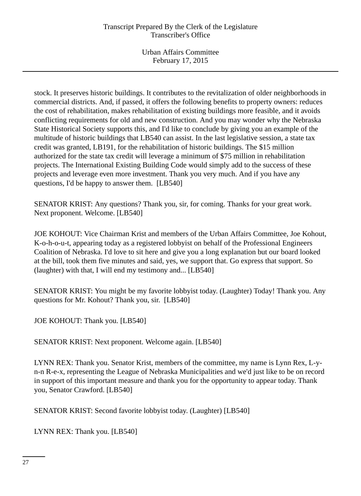Urban Affairs Committee February 17, 2015

stock. It preserves historic buildings. It contributes to the revitalization of older neighborhoods in commercial districts. And, if passed, it offers the following benefits to property owners: reduces the cost of rehabilitation, makes rehabilitation of existing buildings more feasible, and it avoids conflicting requirements for old and new construction. And you may wonder why the Nebraska State Historical Society supports this, and I'd like to conclude by giving you an example of the multitude of historic buildings that LB540 can assist. In the last legislative session, a state tax credit was granted, LB191, for the rehabilitation of historic buildings. The \$15 million authorized for the state tax credit will leverage a minimum of \$75 million in rehabilitation projects. The International Existing Building Code would simply add to the success of these projects and leverage even more investment. Thank you very much. And if you have any questions, I'd be happy to answer them. [LB540]

SENATOR KRIST: Any questions? Thank you, sir, for coming. Thanks for your great work. Next proponent. Welcome. [LB540]

JOE KOHOUT: Vice Chairman Krist and members of the Urban Affairs Committee, Joe Kohout, K-o-h-o-u-t, appearing today as a registered lobbyist on behalf of the Professional Engineers Coalition of Nebraska. I'd love to sit here and give you a long explanation but our board looked at the bill, took them five minutes and said, yes, we support that. Go express that support. So (laughter) with that, I will end my testimony and... [LB540]

SENATOR KRIST: You might be my favorite lobbyist today. (Laughter) Today! Thank you. Any questions for Mr. Kohout? Thank you, sir. [LB540]

JOE KOHOUT: Thank you. [LB540]

SENATOR KRIST: Next proponent. Welcome again. [LB540]

LYNN REX: Thank you. Senator Krist, members of the committee, my name is Lynn Rex, L-yn-n R-e-x, representing the League of Nebraska Municipalities and we'd just like to be on record in support of this important measure and thank you for the opportunity to appear today. Thank you, Senator Crawford. [LB540]

SENATOR KRIST: Second favorite lobbyist today. (Laughter) [LB540]

LYNN REX: Thank you. [LB540]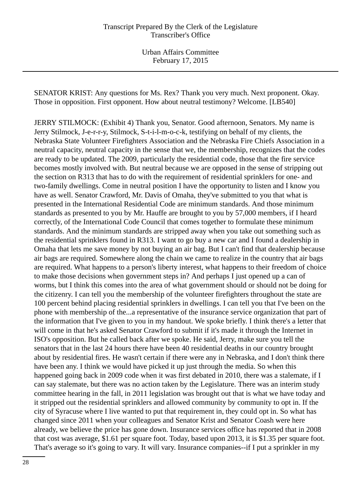SENATOR KRIST: Any questions for Ms. Rex? Thank you very much. Next proponent. Okay. Those in opposition. First opponent. How about neutral testimony? Welcome. [LB540]

JERRY STILMOCK: (Exhibit 4) Thank you, Senator. Good afternoon, Senators. My name is Jerry Stilmock, J-e-r-r-y, Stilmock, S-t-i-l-m-o-c-k, testifying on behalf of my clients, the Nebraska State Volunteer Firefighters Association and the Nebraska Fire Chiefs Association in a neutral capacity, neutral capacity in the sense that we, the membership, recognizes that the codes are ready to be updated. The 2009, particularly the residential code, those that the fire service becomes mostly involved with. But neutral because we are opposed in the sense of stripping out the section on R313 that has to do with the requirement of residential sprinklers for one- and two-family dwellings. Come in neutral position I have the opportunity to listen and I know you have as well. Senator Crawford, Mr. Davis of Omaha, they've submitted to you that what is presented in the International Residential Code are minimum standards. And those minimum standards as presented to you by Mr. Hauffe are brought to you by 57,000 members, if I heard correctly, of the International Code Council that comes together to formulate these minimum standards. And the minimum standards are stripped away when you take out something such as the residential sprinklers found in R313. I want to go buy a new car and I found a dealership in Omaha that lets me save money by not buying an air bag. But I can't find that dealership because air bags are required. Somewhere along the chain we came to realize in the country that air bags are required. What happens to a person's liberty interest, what happens to their freedom of choice to make those decisions when government steps in? And perhaps I just opened up a can of worms, but I think this comes into the area of what government should or should not be doing for the citizenry. I can tell you the membership of the volunteer firefighters throughout the state are 100 percent behind placing residential sprinklers in dwellings. I can tell you that I've been on the phone with membership of the...a representative of the insurance service organization that part of the information that I've given to you in my handout. We spoke briefly. I think there's a letter that will come in that he's asked Senator Crawford to submit if it's made it through the Internet in ISO's opposition. But he called back after we spoke. He said, Jerry, make sure you tell the senators that in the last 24 hours there have been 40 residential deaths in our country brought about by residential fires. He wasn't certain if there were any in Nebraska, and I don't think there have been any. I think we would have picked it up just through the media. So when this happened going back in 2009 code when it was first debated in 2010, there was a stalemate, if I can say stalemate, but there was no action taken by the Legislature. There was an interim study committee hearing in the fall, in 2011 legislation was brought out that is what we have today and it stripped out the residential sprinklers and allowed community by community to opt in. If the city of Syracuse where I live wanted to put that requirement in, they could opt in. So what has changed since 2011 when your colleagues and Senator Krist and Senator Coash were here already, we believe the price has gone down. Insurance services office has reported that in 2008 that cost was average, \$1.61 per square foot. Today, based upon 2013, it is \$1.35 per square foot. That's average so it's going to vary. It will vary. Insurance companies--if I put a sprinkler in my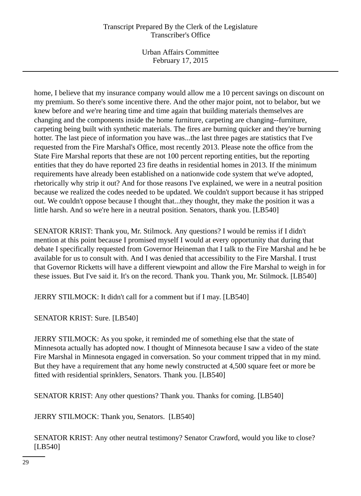Urban Affairs Committee February 17, 2015

home, I believe that my insurance company would allow me a 10 percent savings on discount on my premium. So there's some incentive there. And the other major point, not to belabor, but we knew before and we're hearing time and time again that building materials themselves are changing and the components inside the home furniture, carpeting are changing--furniture, carpeting being built with synthetic materials. The fires are burning quicker and they're burning hotter. The last piece of information you have was...the last three pages are statistics that I've requested from the Fire Marshal's Office, most recently 2013. Please note the office from the State Fire Marshal reports that these are not 100 percent reporting entities, but the reporting entities that they do have reported 23 fire deaths in residential homes in 2013. If the minimum requirements have already been established on a nationwide code system that we've adopted, rhetorically why strip it out? And for those reasons I've explained, we were in a neutral position because we realized the codes needed to be updated. We couldn't support because it has stripped out. We couldn't oppose because I thought that...they thought, they make the position it was a little harsh. And so we're here in a neutral position. Senators, thank you. [LB540]

SENATOR KRIST: Thank you, Mr. Stilmock. Any questions? I would be remiss if I didn't mention at this point because I promised myself I would at every opportunity that during that debate I specifically requested from Governor Heineman that I talk to the Fire Marshal and he be available for us to consult with. And I was denied that accessibility to the Fire Marshal. I trust that Governor Ricketts will have a different viewpoint and allow the Fire Marshal to weigh in for these issues. But I've said it. It's on the record. Thank you. Thank you, Mr. Stilmock. [LB540]

JERRY STILMOCK: It didn't call for a comment but if I may. [LB540]

SENATOR KRIST: Sure. [LB540]

JERRY STILMOCK: As you spoke, it reminded me of something else that the state of Minnesota actually has adopted now. I thought of Minnesota because I saw a video of the state Fire Marshal in Minnesota engaged in conversation. So your comment tripped that in my mind. But they have a requirement that any home newly constructed at 4,500 square feet or more be fitted with residential sprinklers, Senators. Thank you. [LB540]

SENATOR KRIST: Any other questions? Thank you. Thanks for coming. [LB540]

JERRY STILMOCK: Thank you, Senators. [LB540]

SENATOR KRIST: Any other neutral testimony? Senator Crawford, would you like to close? [LB540]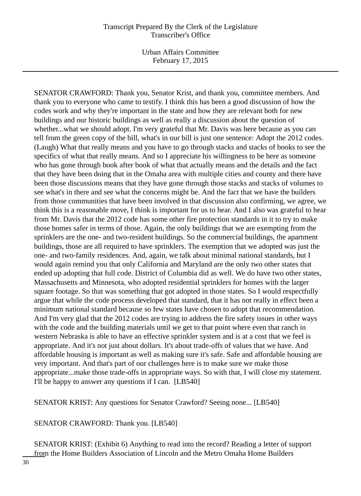SENATOR CRAWFORD: Thank you, Senator Krist, and thank you, committee members. And thank you to everyone who came to testify. I think this has been a good discussion of how the codes work and why they're important in the state and how they are relevant both for new buildings and our historic buildings as well as really a discussion about the question of whether...what we should adopt. I'm very grateful that Mr. Davis was here because as you can tell from the green copy of the bill, what's in our bill is just one sentence: Adopt the 2012 codes. (Laugh) What that really means and you have to go through stacks and stacks of books to see the specifics of what that really means. And so I appreciate his willingness to be here as someone who has gone through book after book of what that actually means and the details and the fact that they have been doing that in the Omaha area with multiple cities and county and there have been those discussions means that they have gone through those stacks and stacks of volumes to see what's in there and see what the concerns might be. And the fact that we have the builders from those communities that have been involved in that discussion also confirming, we agree, we think this is a reasonable move, I think is important for us to hear. And I also was grateful to hear from Mr. Davis that the 2012 code has some other fire protection standards in it to try to make those homes safer in terms of those. Again, the only buildings that we are exempting from the sprinklers are the one- and two-resident buildings. So the commercial buildings, the apartment buildings, those are all required to have sprinklers. The exemption that we adopted was just the one- and two-family residences. And, again, we talk about minimal national standards, but I would again remind you that only California and Maryland are the only two other states that ended up adopting that full code. District of Columbia did as well. We do have two other states, Massachusetts and Minnesota, who adopted residential sprinklers for homes with the larger square footage. So that was something that got adopted in those states. So I would respectfully argue that while the code process developed that standard, that it has not really in effect been a minimum national standard because so few states have chosen to adopt that recommendation. And I'm very glad that the 2012 codes are trying to address the fire safety issues in other ways with the code and the building materials until we get to that point where even that ranch in western Nebraska is able to have an effective sprinkler system and is at a cost that we feel is appropriate. And it's not just about dollars. It's about trade-offs of values that we have. And affordable housing is important as well as making sure it's safe. Safe and affordable housing are very important. And that's part of our challenges here is to make sure we make those appropriate...make those trade-offs in appropriate ways. So with that, I will close my statement. I'll be happy to answer any questions if I can. [LB540]

SENATOR KRIST: Any questions for Senator Crawford? Seeing none... [LB540]

SENATOR CRAWFORD: Thank you. [LB540]

SENATOR KRIST: (Exhibit 6) Anything to read into the record? Reading a letter of support from the Home Builders Association of Lincoln and the Metro Omaha Home Builders